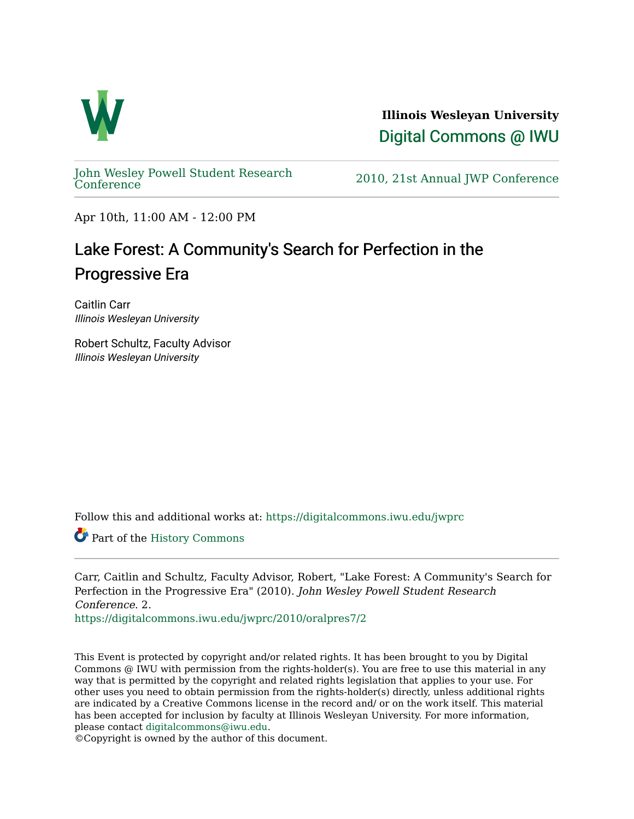

**Illinois Wesleyan University**  [Digital Commons @ IWU](https://digitalcommons.iwu.edu/) 

[John Wesley Powell Student Research](https://digitalcommons.iwu.edu/jwprc) 

2010, 21st Annual JWP [Conference](https://digitalcommons.iwu.edu/jwprc)

Apr 10th, 11:00 AM - 12:00 PM

## Lake Forest: A Community's Search for Perfection in the Progressive Era

Caitlin Carr Illinois Wesleyan University

Robert Schultz, Faculty Advisor Illinois Wesleyan University

Follow this and additional works at: [https://digitalcommons.iwu.edu/jwprc](https://digitalcommons.iwu.edu/jwprc?utm_source=digitalcommons.iwu.edu%2Fjwprc%2F2010%2Foralpres7%2F2&utm_medium=PDF&utm_campaign=PDFCoverPages) 

Part of the [History Commons](http://network.bepress.com/hgg/discipline/489?utm_source=digitalcommons.iwu.edu%2Fjwprc%2F2010%2Foralpres7%2F2&utm_medium=PDF&utm_campaign=PDFCoverPages)

Carr, Caitlin and Schultz, Faculty Advisor, Robert, "Lake Forest: A Community's Search for Perfection in the Progressive Era" (2010). John Wesley Powell Student Research Conference. 2.

[https://digitalcommons.iwu.edu/jwprc/2010/oralpres7/2](https://digitalcommons.iwu.edu/jwprc/2010/oralpres7/2?utm_source=digitalcommons.iwu.edu%2Fjwprc%2F2010%2Foralpres7%2F2&utm_medium=PDF&utm_campaign=PDFCoverPages)

This Event is protected by copyright and/or related rights. It has been brought to you by Digital Commons @ IWU with permission from the rights-holder(s). You are free to use this material in any way that is permitted by the copyright and related rights legislation that applies to your use. For other uses you need to obtain permission from the rights-holder(s) directly, unless additional rights are indicated by a Creative Commons license in the record and/ or on the work itself. This material has been accepted for inclusion by faculty at Illinois Wesleyan University. For more information, please contact [digitalcommons@iwu.edu.](mailto:digitalcommons@iwu.edu)

©Copyright is owned by the author of this document.